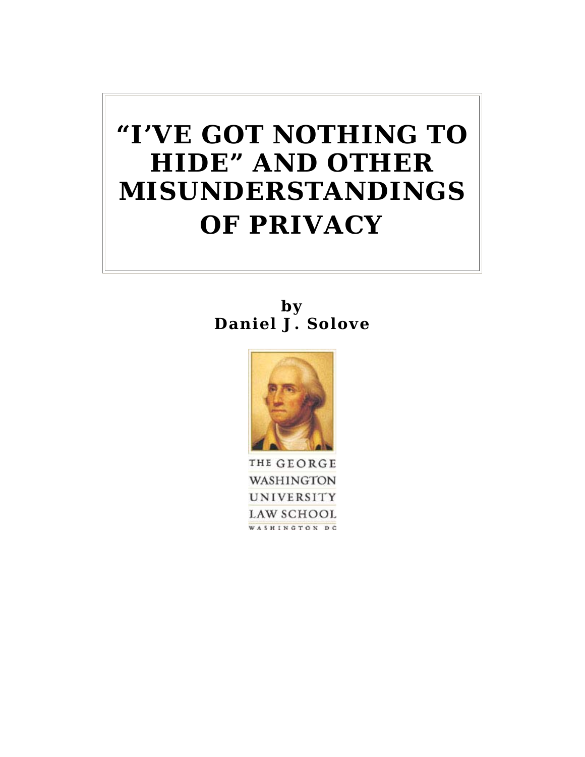# **"I'VE GOT NOTHING TO HIDE" AND OTHER MISUNDERSTANDINGS OF PRIVACY**

**by Daniel J. Solove**



THE GEORGE WASHINGTON UNIVERSITY LAW SCHOOL WASHINGTON DC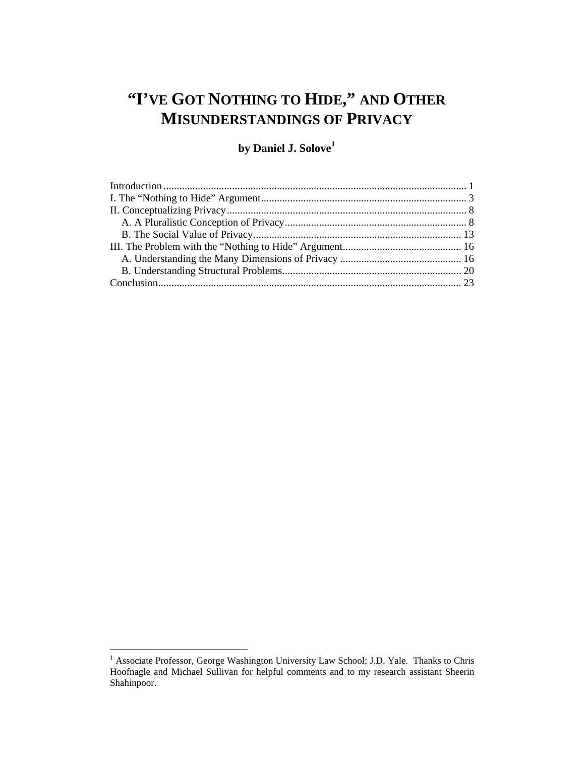## **"I'VE GOT NOTHING TO HIDE," AND OTHER MISUNDERSTANDINGS OF PRIVACY**

**by Daniel J. Solove[1](#page-1-0)**

<span id="page-1-0"></span> 1 Associate Professor, George Washington University Law School; J.D. Yale. Thanks to Chris Hoofnagle and Michael Sullivan for helpful comments and to my research assistant Sheerin Shahinpoor.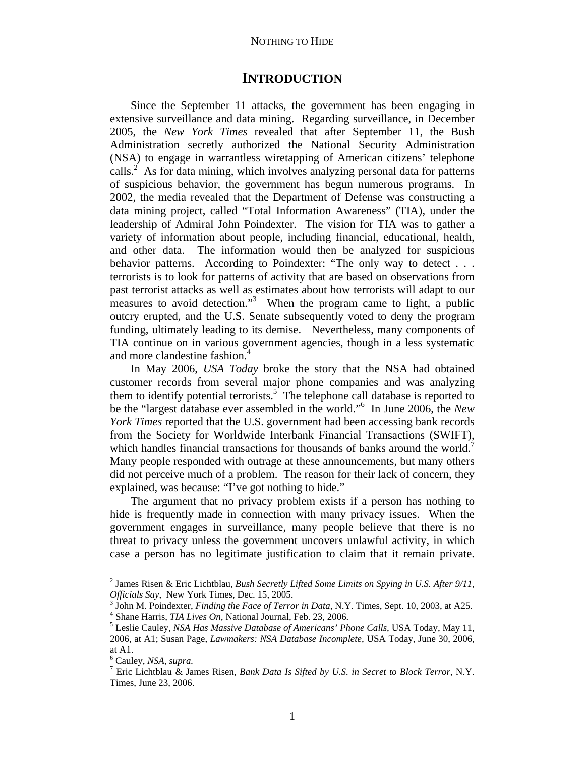### **INTRODUCTION**

<span id="page-2-0"></span>Since the September 11 attacks, the government has been engaging in extensive surveillance and data mining. Regarding surveillance, in December 2005, the *New York Times* revealed that after September 11, the Bush Administration secretly authorized the National Security Administration (NSA) to engage in warrantless wiretapping of American citizens' telephone calls.<sup>2</sup> As for data mining, which involves analyzing personal data for patterns of suspicious behavior, the government has begun numerous programs. In 2002, the media revealed that the Department of Defense was constructing a data mining project, called "Total Information Awareness" (TIA), under the leadership of Admiral John Poindexter. The vision for TIA was to gather a variety of information about people, including financial, educational, health, and other data. The information would then be analyzed for suspicious behavior patterns. According to Poindexter: "The only way to detect . . . terrorists is to look for patterns of activity that are based on observations from past terrorist attacks as well as estimates about how terrorists will adapt to our measures to avoid detection."<sup>[3](#page-2-2)</sup> When the program came to light, a public outcry erupted, and the U.S. Senate subsequently voted to deny the program funding, ultimately leading to its demise. Nevertheless, many components of TIA continue on in various government agencies, though in a less systematic and more clandestine fashion.<sup>[4](#page-2-3)</sup>

In May 2006, *USA Today* broke the story that the NSA had obtained customer records from several major phone companies and was analyzing them to identify potential terrorists.<sup>[5](#page-2-4)</sup> The telephone call database is reported to be the "largest database ever assembled in the world."[6](#page-2-5) In June 2006, the *New York Times* reported that the U.S. government had been accessing bank records from the Society for Worldwide Interbank Financial Transactions (SWIFT), which handles financial transactions for thousands of banks around the world.<sup>[7](#page-2-6)</sup> Many people responded with outrage at these announcements, but many others did not perceive much of a problem. The reason for their lack of concern, they explained, was because: "I've got nothing to hide."

The argument that no privacy problem exists if a person has nothing to hide is frequently made in connection with many privacy issues. When the government engages in surveillance, many people believe that there is no threat to privacy unless the government uncovers unlawful activity, in which case a person has no legitimate justification to claim that it remain private.

<span id="page-2-1"></span><sup>2</sup> James Risen & Eric Lichtblau, *Bush Secretly Lifted Some Limits on Spying in U.S. After 9/11, Officials Say*, New York Times, Dec. 15, 2005.

<span id="page-2-3"></span><span id="page-2-2"></span><sup>&</sup>lt;sup>3</sup> John M. Poindexter, *Finding the Face of Terror in Data*, N.Y. Times, Sept. 10, 2003, at A25. <sup>4</sup> Shane Harris, *TIA Lives On*, National Journal, Feb. 23, 2006.

<span id="page-2-4"></span>Leslie Cauley, *NSA Has Massive Database of Americans' Phone Calls*, USA Today, May 11, 2006, at A1; Susan Page, *Lawmakers: NSA Database Incomplete*, USA Today, June 30, 2006, at A1.

<span id="page-2-5"></span><sup>&</sup>lt;sup>6</sup> Cauley, *NSA*, *supra.*<br><sup>7</sup> Frie Lightblau, & Jan

<span id="page-2-6"></span>Eric Lichtblau & James Risen, *Bank Data Is Sifted by U.S. in Secret to Block Terror*, N.Y. Times, June 23, 2006.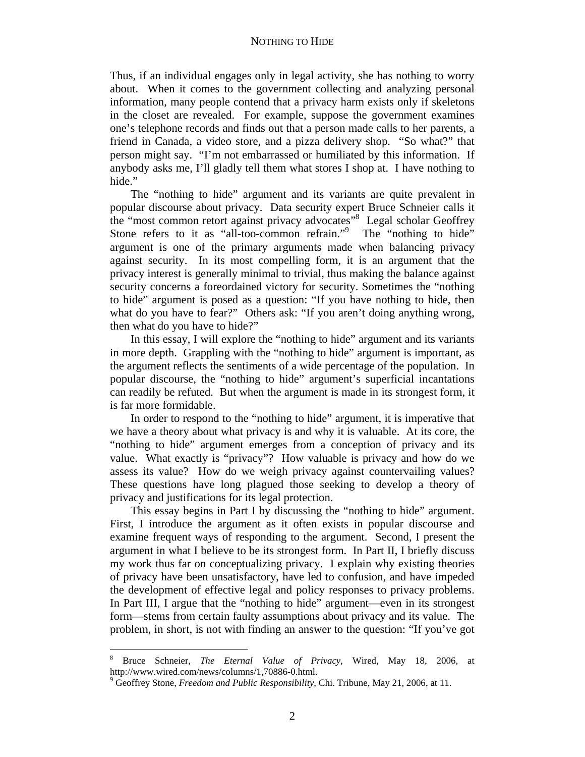Thus, if an individual engages only in legal activity, she has nothing to worry about. When it comes to the government collecting and analyzing personal information, many people contend that a privacy harm exists only if skeletons in the closet are revealed. For example, suppose the government examines one's telephone records and finds out that a person made calls to her parents, a friend in Canada, a video store, and a pizza delivery shop. "So what?" that person might say. "I'm not embarrassed or humiliated by this information. If anybody asks me, I'll gladly tell them what stores I shop at. I have nothing to hide."

The "nothing to hide" argument and its variants are quite prevalent in popular discourse about privacy. Data security expert Bruce Schneier calls it the "most common retort against privacy advocates"<sup>[8](#page-3-0)</sup> Legal scholar Geoffrey Stone refers to it as "all-too-common refrain."<sup>[9](#page-3-1)</sup> The "nothing to hide" argument is one of the primary arguments made when balancing privacy against security. In its most compelling form, it is an argument that the privacy interest is generally minimal to trivial, thus making the balance against security concerns a foreordained victory for security. Sometimes the "nothing to hide" argument is posed as a question: "If you have nothing to hide, then what do you have to fear?" Others ask: "If you aren't doing anything wrong, then what do you have to hide?"

In this essay, I will explore the "nothing to hide" argument and its variants in more depth. Grappling with the "nothing to hide" argument is important, as the argument reflects the sentiments of a wide percentage of the population. In popular discourse, the "nothing to hide" argument's superficial incantations can readily be refuted. But when the argument is made in its strongest form, it is far more formidable.

In order to respond to the "nothing to hide" argument, it is imperative that we have a theory about what privacy is and why it is valuable. At its core, the "nothing to hide" argument emerges from a conception of privacy and its value. What exactly is "privacy"? How valuable is privacy and how do we assess its value? How do we weigh privacy against countervailing values? These questions have long plagued those seeking to develop a theory of privacy and justifications for its legal protection.

This essay begins in Part I by discussing the "nothing to hide" argument. First, I introduce the argument as it often exists in popular discourse and examine frequent ways of responding to the argument. Second, I present the argument in what I believe to be its strongest form. In Part II, I briefly discuss my work thus far on conceptualizing privacy. I explain why existing theories of privacy have been unsatisfactory, have led to confusion, and have impeded the development of effective legal and policy responses to privacy problems. In Part III, I argue that the "nothing to hide" argument—even in its strongest form—stems from certain faulty assumptions about privacy and its value. The problem, in short, is not with finding an answer to the question: "If you've got

<span id="page-3-0"></span><sup>8</sup> Bruce Schneier, *The Eternal Value of Privacy*, Wired, May 18, 2006, at http://www.wired.com/news/columns/1,70886-0.html. 9

<span id="page-3-1"></span>Geoffrey Stone, *Freedom and Public Responsibility*, Chi. Tribune, May 21, 2006, at 11.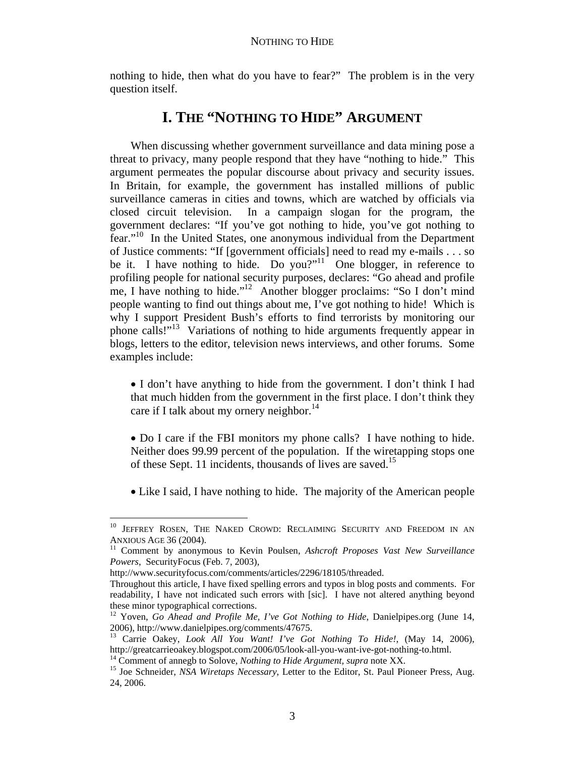<span id="page-4-0"></span>nothing to hide, then what do you have to fear?" The problem is in the very question itself.

## **I. THE "NOTHING TO HIDE" ARGUMENT**

When discussing whether government surveillance and data mining pose a threat to privacy, many people respond that they have "nothing to hide." This argument permeates the popular discourse about privacy and security issues. In Britain, for example, the government has installed millions of public surveillance cameras in cities and towns, which are watched by officials via closed circuit television. In a campaign slogan for the program, the government declares: "If you've got nothing to hide, you've got nothing to fear."[10](#page-4-1) In the United States, one anonymous individual from the Department of Justice comments: "If [government officials] need to read my e-mails . . . so be it. I have nothing to hide. Do you?"<sup>11</sup> One blogger, in reference to profiling people for national security purposes, declares: "Go ahead and profile me, I have nothing to hide."<sup>12</sup> Another blogger proclaims: "So I don't mind people wanting to find out things about me, I've got nothing to hide! Which is why I support President Bush's efforts to find terrorists by monitoring our phone calls!"[13](#page-4-4) Variations of nothing to hide arguments frequently appear in blogs, letters to the editor, television news interviews, and other forums. Some examples include:

• I don't have anything to hide from the government. I don't think I had that much hidden from the government in the first place. I don't think they care if I talk about my ornery neighbor.<sup>14</sup>

• Do I care if the FBI monitors my phone calls? I have nothing to hide. Neither does 99.99 percent of the population. If the wiretapping stops one of these Sept. 11 incidents, thousands of lives are saved.<sup>[15](#page-4-6)</sup>

• Like I said, I have nothing to hide. The majority of the American people

<span id="page-4-1"></span><sup>&</sup>lt;sup>10</sup> JEFFREY ROSEN, THE NAKED CROWD: RECLAIMING SECURITY AND FREEDOM IN AN ANXIOUS AGE 36 (2004). 11 Comment by anonymous to Kevin Poulsen, *Ashcroft Proposes Vast New Surveillance*

<span id="page-4-2"></span>*Powers*, SecurityFocus (Feb. 7, 2003),

http://www.securityfocus.com/comments/articles/2296/18105/threaded.

Throughout this article, I have fixed spelling errors and typos in blog posts and comments. For readability, I have not indicated such errors with [sic]. I have not altered anything beyond these minor typographical corrections.<br><sup>12</sup> Yoven, *Go Ahead and Profile Me, I've Got Nothing to Hide*, Danielpipes.org (June 14,

<span id="page-4-3"></span><sup>2006),</sup> http://www.danielpipes.org/comments/47675. 13 Carrie Oakey, *Look All You Want! I've Got Nothing To Hide!*, (May 14, 2006),

<span id="page-4-4"></span>http://greatcarrieoakey.blogspot.com/2006/05/look-all-you-want-ive-got-nothing-to.html.<br><sup>14</sup> Comment of annegb to Solove, *Nothing to Hide Argument, supra* note XX.<br><sup>15</sup> Joe Schneider, *NSA Wiretaps Necessary*, Letter to t

<span id="page-4-5"></span>

<span id="page-4-6"></span><sup>24, 2006.</sup>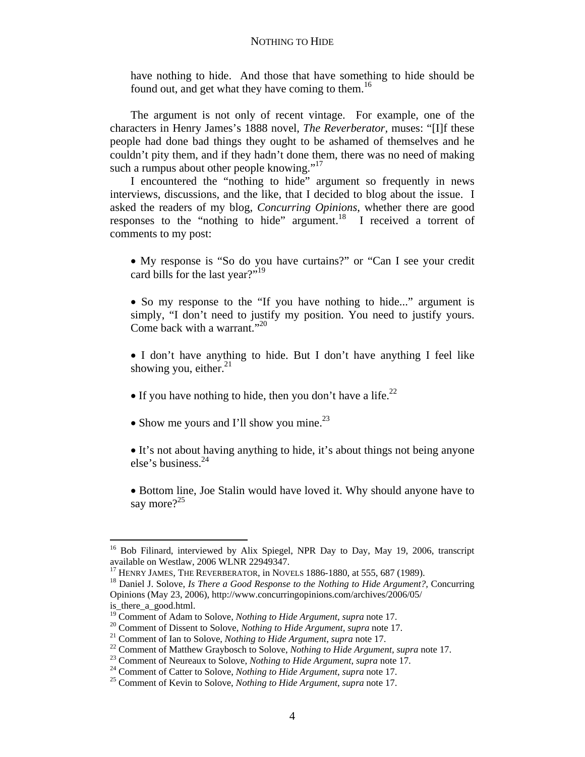have nothing to hide. And those that have something to hide should be found out, and get what they have coming to them.<sup>[16](#page-5-0)</sup>

The argument is not only of recent vintage. For example, one of the characters in Henry James's 1888 novel, *The Reverberator,* muses: "[I]f these people had done bad things they ought to be ashamed of themselves and he couldn't pity them, and if they hadn't done them, there was no need of making such a rumpus about other people knowing."<sup>17</sup>

I encountered the "nothing to hide" argument so frequently in news interviews, discussions, and the like, that I decided to blog about the issue. I asked the readers of my blog, *Concurring Opinions*, whether there are good responses to the "nothing to hide" argument.<sup>18</sup> I received a torrent of comments to my post:

• My response is "So do you have curtains?" or "Can I see your credit card bills for the last year?"<sup>[19](#page-5-3)</sup>

• So my response to the "If you have nothing to hide..." argument is simply, "I don't need to justify my position. You need to justify yours. Come back with a warrant."<sup>[20](#page-5-4)</sup>

• I don't have anything to hide. But I don't have anything I feel like showing you, either. $^{21}$  $^{21}$  $^{21}$ 

- If you have nothing to hide, then you don't have a life.<sup>[22](#page-5-6)</sup>
- Show me yours and I'll show you mine.<sup>[23](#page-5-7)</sup>
- It's not about having anything to hide, it's about things not being anyone else's business.<sup>[24](#page-5-8)</sup>

• Bottom line, Joe Stalin would have loved it. Why should anyone have to say more? $2^{25}$  $2^{25}$  $2^{25}$ 

<span id="page-5-0"></span> $16$  Bob Filinard, interviewed by Alix Spiegel, NPR Day to Day, May 19, 2006, transcript available on Westlaw, 2006 WLNR 22949347.

<span id="page-5-1"></span><sup>&</sup>lt;sup>17</sup> HENRY JAMES, THE REVERBERATOR, in NOVELS 1886-1880, at 555, 687 (1989). <sup>18</sup> Daniel J. Solove, *Is There a Good Response to the Nothing to Hide Argument?*, Concurring

<span id="page-5-2"></span>Opinions (May 23, 2006), http://www.concurringopinions.com/archives/2006/05/

<span id="page-5-3"></span>

is\_there\_a\_good.html.<br><sup>19</sup> Comment of Adam to Solove, *Nothing to Hide Argument*, *supra* note 17.

<span id="page-5-4"></span>

<span id="page-5-6"></span><span id="page-5-5"></span>

<sup>&</sup>lt;sup>20</sup> Comment of Dissent to Solove, *Nothing to Hide Argument, supra* note 17.<br><sup>21</sup> Comment of Ian to Solove, *Nothing to Hide Argument, supra* note 17.<br><sup>22</sup> Comment of Matthew Graybosch to Solove, *Nothing to Hide Argumen* 

<span id="page-5-7"></span>

<span id="page-5-8"></span>

<span id="page-5-9"></span>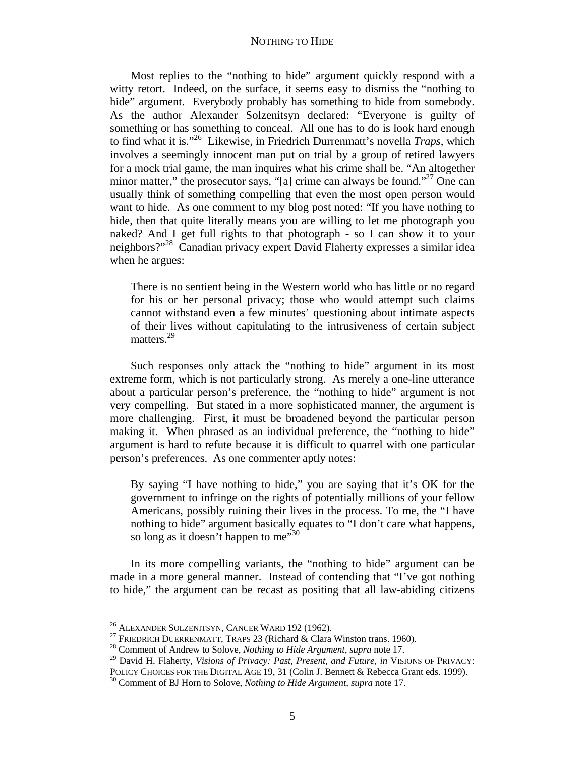Most replies to the "nothing to hide" argument quickly respond with a witty retort. Indeed, on the surface, it seems easy to dismiss the "nothing to hide" argument. Everybody probably has something to hide from somebody. As the author Alexander Solzenitsyn declared: "Everyone is guilty of something or has something to conceal. All one has to do is look hard enough to find what it is.["26](#page-6-0) Likewise, in Friedrich Durrenmatt's novella *Traps*, which involves a seemingly innocent man put on trial by a group of retired lawyers for a mock trial game, the man inquires what his crime shall be. "An altogether minor matter," the prosecutor says, "[a] crime can always be found."<sup>27</sup> One can usually think of something compelling that even the most open person would want to hide. As one comment to my blog post noted: "If you have nothing to hide, then that quite literally means you are willing to let me photograph you naked? And I get full rights to that photograph - so I can show it to your neighbors?"<sup>28</sup> Canadian privacy expert David Flaherty expresses a similar idea when he argues:

There is no sentient being in the Western world who has little or no regard for his or her personal privacy; those who would attempt such claims cannot withstand even a few minutes' questioning about intimate aspects of their lives without capitulating to the intrusiveness of certain subject matters.<sup>[29](#page-6-3)</sup>

Such responses only attack the "nothing to hide" argument in its most extreme form, which is not particularly strong. As merely a one-line utterance about a particular person's preference, the "nothing to hide" argument is not very compelling. But stated in a more sophisticated manner, the argument is more challenging. First, it must be broadened beyond the particular person making it. When phrased as an individual preference, the "nothing to hide" argument is hard to refute because it is difficult to quarrel with one particular person's preferences. As one commenter aptly notes:

By saying "I have nothing to hide," you are saying that it's OK for the government to infringe on the rights of potentially millions of your fellow Americans, possibly ruining their lives in the process. To me, the "I have nothing to hide" argument basically equates to "I don't care what happens, so long as it doesn't happen to me"<sup>[30](#page-6-4)</sup>

In its more compelling variants, the "nothing to hide" argument can be made in a more general manner. Instead of contending that "I've got nothing to hide," the argument can be recast as positing that all law-abiding citizens

<span id="page-6-0"></span><sup>&</sup>lt;sup>26</sup> ALEXANDER SOLZENITSYN, CANCER WARD 192 (1962).

<span id="page-6-1"></span><sup>&</sup>lt;sup>27</sup> FRIEDRICH DUERRENMATT, TRAPS 23 (Richard & Clara Winston trans. 1960). <sup>28</sup> Comment of Andrew to Solove, *Nothing to Hide Argument*, *supra* note 17.

<span id="page-6-2"></span>

<span id="page-6-3"></span><sup>&</sup>lt;sup>29</sup> David H. Flaherty, *Visions of Privacy: Past, Present, and Future, in VISIONS OF PRIVACY:* POLICY CHOICES FOR THE DIGITAL AGE 19, 31 (Colin J. Bennett & Rebecca Grant eds. 1999). 30 Comment of BJ Horn to Solove, *Nothing to Hide Argument*, *supra* note 17.

<span id="page-6-4"></span>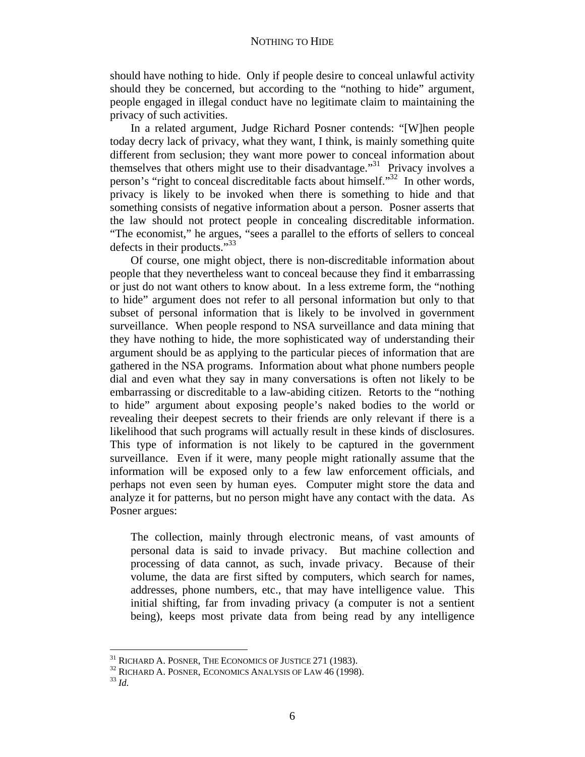should have nothing to hide. Only if people desire to conceal unlawful activity should they be concerned, but according to the "nothing to hide" argument, people engaged in illegal conduct have no legitimate claim to maintaining the privacy of such activities.

In a related argument, Judge Richard Posner contends: "[W]hen people today decry lack of privacy, what they want, I think, is mainly something quite different from seclusion; they want more power to conceal information about themselves that others might use to their disadvantage."<sup>31</sup> Privacy involves a person's "right to conceal discreditable facts about himself."<sup>32</sup> In other words, privacy is likely to be invoked when there is something to hide and that something consists of negative information about a person. Posner asserts that the law should not protect people in concealing discreditable information. "The economist," he argues, "sees a parallel to the efforts of sellers to conceal defects in their products."<sup>33</sup>

Of course, one might object, there is non-discreditable information about people that they nevertheless want to conceal because they find it embarrassing or just do not want others to know about. In a less extreme form, the "nothing to hide" argument does not refer to all personal information but only to that subset of personal information that is likely to be involved in government surveillance. When people respond to NSA surveillance and data mining that they have nothing to hide, the more sophisticated way of understanding their argument should be as applying to the particular pieces of information that are gathered in the NSA programs. Information about what phone numbers people dial and even what they say in many conversations is often not likely to be embarrassing or discreditable to a law-abiding citizen. Retorts to the "nothing to hide" argument about exposing people's naked bodies to the world or revealing their deepest secrets to their friends are only relevant if there is a likelihood that such programs will actually result in these kinds of disclosures. This type of information is not likely to be captured in the government surveillance. Even if it were, many people might rationally assume that the information will be exposed only to a few law enforcement officials, and perhaps not even seen by human eyes. Computer might store the data and analyze it for patterns, but no person might have any contact with the data. As Posner argues:

The collection, mainly through electronic means, of vast amounts of personal data is said to invade privacy. But machine collection and processing of data cannot, as such, invade privacy. Because of their volume, the data are first sifted by computers, which search for names, addresses, phone numbers, etc., that may have intelligence value. This initial shifting, far from invading privacy (a computer is not a sentient being), keeps most private data from being read by any intelligence

<span id="page-7-1"></span><span id="page-7-0"></span>

<sup>&</sup>lt;sup>31</sup> RICHARD A. POSNER, THE ECONOMICS OF JUSTICE 271 (1983).<br><sup>32</sup> RICHARD A. POSNER, ECONOMICS ANALYSIS OF LAW 46 (1998).<br><sup>33</sup> *Id.* 

<span id="page-7-2"></span>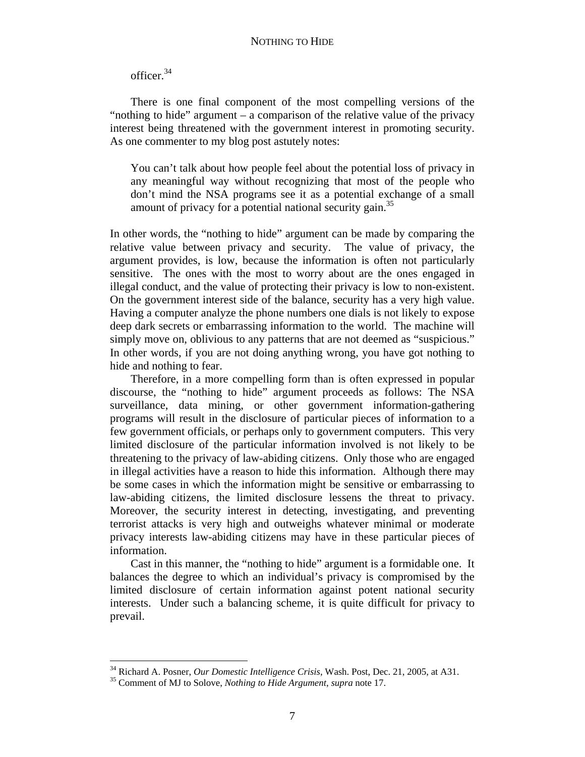officer.[34](#page-8-0)

There is one final component of the most compelling versions of the "nothing to hide" argument – a comparison of the relative value of the privacy interest being threatened with the government interest in promoting security. As one commenter to my blog post astutely notes:

You can't talk about how people feel about the potential loss of privacy in any meaningful way without recognizing that most of the people who don't mind the NSA programs see it as a potential exchange of a small amount of privacy for a potential national security gain.<sup>[35](#page-8-1)</sup>

In other words, the "nothing to hide" argument can be made by comparing the relative value between privacy and security. The value of privacy, the argument provides, is low, because the information is often not particularly sensitive. The ones with the most to worry about are the ones engaged in illegal conduct, and the value of protecting their privacy is low to non-existent. On the government interest side of the balance, security has a very high value. Having a computer analyze the phone numbers one dials is not likely to expose deep dark secrets or embarrassing information to the world. The machine will simply move on, oblivious to any patterns that are not deemed as "suspicious." In other words, if you are not doing anything wrong, you have got nothing to hide and nothing to fear.

Therefore, in a more compelling form than is often expressed in popular discourse, the "nothing to hide" argument proceeds as follows: The NSA surveillance, data mining, or other government information-gathering programs will result in the disclosure of particular pieces of information to a few government officials, or perhaps only to government computers. This very limited disclosure of the particular information involved is not likely to be threatening to the privacy of law-abiding citizens. Only those who are engaged in illegal activities have a reason to hide this information. Although there may be some cases in which the information might be sensitive or embarrassing to law-abiding citizens, the limited disclosure lessens the threat to privacy. Moreover, the security interest in detecting, investigating, and preventing terrorist attacks is very high and outweighs whatever minimal or moderate privacy interests law-abiding citizens may have in these particular pieces of information.

Cast in this manner, the "nothing to hide" argument is a formidable one. It balances the degree to which an individual's privacy is compromised by the limited disclosure of certain information against potent national security interests. Under such a balancing scheme, it is quite difficult for privacy to prevail.

<span id="page-8-0"></span><sup>34</sup> Richard A. Posner, *Our Domestic Intelligence Crisis*, Wash. Post, Dec. 21, 2005, at A31. 35 Comment of MJ to Solove, *Nothing to Hide Argument*, *supra* note 17.

<span id="page-8-1"></span>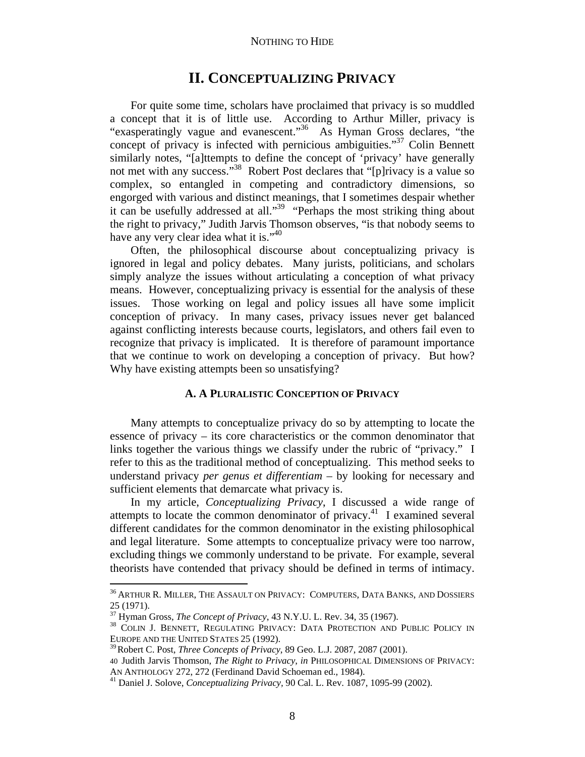## **II. CONCEPTUALIZING PRIVACY**

<span id="page-9-0"></span>For quite some time, scholars have proclaimed that privacy is so muddled a concept that it is of little use. According to Arthur Miller, privacy is "exasperatingly vague and evanescent."[36](#page-9-1) As Hyman Gross declares, "the concept of privacy is infected with pernicious ambiguities." [37](#page-9-2) Colin Bennett similarly notes, "[a]ttempts to define the concept of 'privacy' have generally not met with any success.["38](#page-9-3) Robert Post declares that "[p]rivacy is a value so complex, so entangled in competing and contradictory dimensions, so engorged with various and distinct meanings, that I sometimes despair whether it can be usefully addressed at all.["39](#page-9-4) "Perhaps the most striking thing about the right to privacy," Judith Jarvis Thomson observes, "is that nobody seems to have any very clear idea what it is."<sup>40</sup>

Often, the philosophical discourse about conceptualizing privacy is ignored in legal and policy debates. Many jurists, politicians, and scholars simply analyze the issues without articulating a conception of what privacy means. However, conceptualizing privacy is essential for the analysis of these issues. Those working on legal and policy issues all have some implicit conception of privacy. In many cases, privacy issues never get balanced against conflicting interests because courts, legislators, and others fail even to recognize that privacy is implicated. It is therefore of paramount importance that we continue to work on developing a conception of privacy. But how? Why have existing attempts been so unsatisfying?

#### **A. A PLURALISTIC CONCEPTION OF PRIVACY**

Many attempts to conceptualize privacy do so by attempting to locate the essence of privacy – its core characteristics or the common denominator that links together the various things we classify under the rubric of "privacy." I refer to this as the traditional method of conceptualizing. This method seeks to understand privacy *per genus et differentiam* – by looking for necessary and sufficient elements that demarcate what privacy is.

In my article, *Conceptualizing Privacy*, I discussed a wide range of attempts to locate the common denominator of privacy.[41](#page-9-6) I examined several different candidates for the common denominator in the existing philosophical and legal literature. Some attempts to conceptualize privacy were too narrow, excluding things we commonly understand to be private. For example, several theorists have contended that privacy should be defined in terms of intimacy.

<span id="page-9-1"></span><sup>36</sup> ARTHUR R. MILLER, THE ASSAULT ON PRIVACY: COMPUTERS, DATA BANKS, AND DOSSIERS 25 (1971).<br><sup>37</sup> Hyman Gross, *The Concept of Privacy*, 43 N.Y.U. L. Rev. 34, 35 (1967).<br><sup>38</sup> COLIN J. BENNETT, REGULATING PRIVACY: DATA PROTECTION AND PUBLIC POLICY IN

<span id="page-9-2"></span>

<span id="page-9-3"></span>EUROPE AND THE UNITED STATES 25 (1992).

<span id="page-9-4"></span><sup>39</sup>Robert C. Post, *Three Concepts of Privacy*, 89 Geo. L.J. 2087, 2087 (2001).

<span id="page-9-5"></span><sup>40</sup> Judith Jarvis Thomson, *The Right to Privacy*, *in* PHILOSOPHICAL DIMENSIONS OF PRIVACY: AN ANTHOLOGY 272, 272 (Ferdinand David Schoeman ed., 1984). 41 Daniel J. Solove, *Conceptualizing Privacy,* 90 Cal. L. Rev. 1087, 1095-99 (2002).

<span id="page-9-6"></span>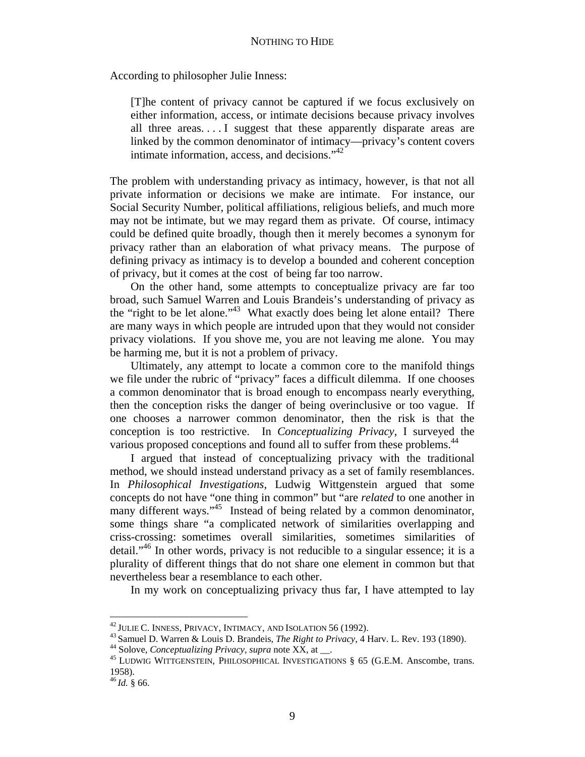According to philosopher Julie Inness:

[T]he content of privacy cannot be captured if we focus exclusively on either information, access, or intimate decisions because privacy involves all three areas. . . . I suggest that these apparently disparate areas are linked by the common denominator of intimacy—privacy's content covers intimate information, access, and decisions." [42](#page-10-0) 

The problem with understanding privacy as intimacy, however, is that not all private information or decisions we make are intimate. For instance, our Social Security Number, political affiliations, religious beliefs, and much more may not be intimate, but we may regard them as private. Of course, intimacy could be defined quite broadly, though then it merely becomes a synonym for privacy rather than an elaboration of what privacy means. The purpose of defining privacy as intimacy is to develop a bounded and coherent conception of privacy, but it comes at the cost of being far too narrow.

On the other hand, some attempts to conceptualize privacy are far too broad, such Samuel Warren and Louis Brandeis's understanding of privacy as the "right to be let alone."[43](#page-10-1) What exactly does being let alone entail? There are many ways in which people are intruded upon that they would not consider privacy violations. If you shove me, you are not leaving me alone. You may be harming me, but it is not a problem of privacy.

Ultimately, any attempt to locate a common core to the manifold things we file under the rubric of "privacy" faces a difficult dilemma. If one chooses a common denominator that is broad enough to encompass nearly everything, then the conception risks the danger of being overinclusive or too vague. If one chooses a narrower common denominator, then the risk is that the conception is too restrictive. In *Conceptualizing Privacy*, I surveyed the various proposed conceptions and found all to suffer from these problems.<sup>44</sup>

I argued that instead of conceptualizing privacy with the traditional method, we should instead understand privacy as a set of family resemblances. In *Philosophical Investigations*, Ludwig Wittgenstein argued that some concepts do not have "one thing in common" but "are *related* to one another in many different ways."<sup>45</sup> Instead of being related by a common denominator, some things share "a complicated network of similarities overlapping and criss-crossing: sometimes overall similarities, sometimes similarities of detail."[46](#page-10-4) In other words, privacy is not reducible to a singular essence; it is a plurality of different things that do not share one element in common but that nevertheless bear a resemblance to each other.

In my work on conceptualizing privacy thus far, I have attempted to lay

<span id="page-10-0"></span>

<span id="page-10-1"></span>

<span id="page-10-3"></span><span id="page-10-2"></span>

<sup>&</sup>lt;sup>42</sup> JULIE C. INNESS, PRIVACY, INTIMACY, AND ISOLATION 56 (1992).<br><sup>43</sup> Samuel D. Warren & Louis D. Brandeis, *The Right to Privacy*, 4 Harv. L. Rev. 193 (1890).<br><sup>44</sup> Solove, *Conceptualizing Privacy, supra* note XX, at \_\_ 1958). 46 *Id.* § 66.

<span id="page-10-4"></span>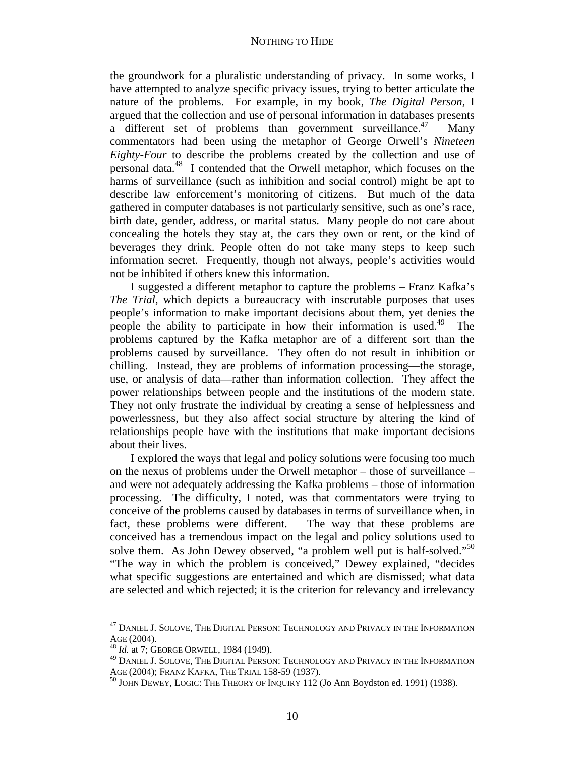the groundwork for a pluralistic understanding of privacy. In some works, I have attempted to analyze specific privacy issues, trying to better articulate the nature of the problems. For example, in my book, *The Digital Person,* I argued that the collection and use of personal information in databases presents a different set of problems than government surveillance.<sup>47</sup> Many commentators had been using the metaphor of George Orwell's *Nineteen Eighty-Four* to describe the problems created by the collection and use of personal data.[48](#page-11-1) I contended that the Orwell metaphor, which focuses on the harms of surveillance (such as inhibition and social control) might be apt to describe law enforcement's monitoring of citizens. But much of the data gathered in computer databases is not particularly sensitive, such as one's race, birth date, gender, address, or marital status. Many people do not care about concealing the hotels they stay at, the cars they own or rent, or the kind of beverages they drink. People often do not take many steps to keep such information secret. Frequently, though not always, people's activities would not be inhibited if others knew this information.

I suggested a different metaphor to capture the problems – Franz Kafka's *The Trial*, which depicts a bureaucracy with inscrutable purposes that uses people's information to make important decisions about them, yet denies the people the ability to participate in how their information is used.<sup>49</sup> The problems captured by the Kafka metaphor are of a different sort than the problems caused by surveillance. They often do not result in inhibition or chilling. Instead, they are problems of information processing—the storage, use, or analysis of data—rather than information collection. They affect the power relationships between people and the institutions of the modern state. They not only frustrate the individual by creating a sense of helplessness and powerlessness, but they also affect social structure by altering the kind of relationships people have with the institutions that make important decisions about their lives.

I explored the ways that legal and policy solutions were focusing too much on the nexus of problems under the Orwell metaphor – those of surveillance – and were not adequately addressing the Kafka problems – those of information processing. The difficulty, I noted, was that commentators were trying to conceive of the problems caused by databases in terms of surveillance when, in fact, these problems were different. The way that these problems are conceived has a tremendous impact on the legal and policy solutions used to solve them. As John Dewey observed, "a problem well put is half-solved."<sup>50</sup> "The way in which the problem is conceived," Dewey explained, "decides what specific suggestions are entertained and which are dismissed; what data are selected and which rejected; it is the criterion for relevancy and irrelevancy

<span id="page-11-0"></span> $^{47}$  Daniel J. Solove, The Digital Person: Technology and Privacy in the Information AGE (2004).<br><sup>48</sup> *Id.* at 7; George Orwell, 1984 (1949).<br><sup>49</sup> DANIEL J. Solove, The Digital Person: Technology and Privacy in the Information

<span id="page-11-1"></span>

<span id="page-11-2"></span>AGE (2004); FRANZ KAFKA, THE TRIAL 158-59 (1937).<br><sup>50</sup> JOHN DEWEY, LOGIC: THE THEORY OF INQUIRY 112 (Jo Ann Boydston ed. 1991) (1938).

<span id="page-11-3"></span>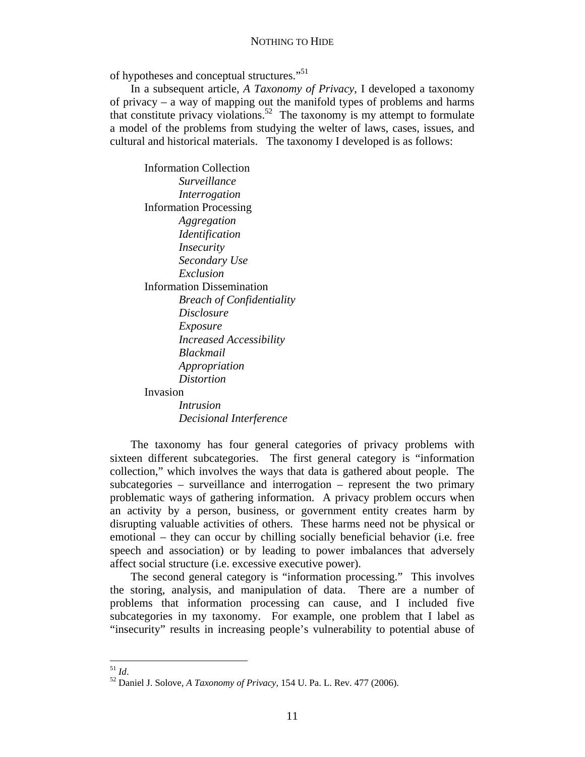of hypotheses and conceptual structures."[51](#page-12-0)

In a subsequent article, *A Taxonomy of Privacy*, I developed a taxonomy of privacy – a way of mapping out the manifold types of problems and harms that constitute privacy violations.<sup>52</sup> The taxonomy is my attempt to formulate a model of the problems from studying the welter of laws, cases, issues, and cultural and historical materials. The taxonomy I developed is as follows:

Information Collection *Surveillance Interrogation*  Information Processing *Aggregation Identification Insecurity Secondary Use Exclusion*  Information Dissemination *Breach of Confidentiality Disclosure Exposure Increased Accessibility Blackmail Appropriation Distortion*  Invasion *Intrusion Decisional Interference* 

The taxonomy has four general categories of privacy problems with sixteen different subcategories. The first general category is "information collection," which involves the ways that data is gathered about people. The subcategories – surveillance and interrogation – represent the two primary problematic ways of gathering information. A privacy problem occurs when an activity by a person, business, or government entity creates harm by disrupting valuable activities of others. These harms need not be physical or emotional – they can occur by chilling socially beneficial behavior (i.e. free speech and association) or by leading to power imbalances that adversely affect social structure (i.e. excessive executive power).

The second general category is "information processing." This involves the storing, analysis, and manipulation of data. There are a number of problems that information processing can cause, and I included five subcategories in my taxonomy. For example, one problem that I label as "insecurity" results in increasing people's vulnerability to potential abuse of

<span id="page-12-0"></span> $^{51}$  Id.

<span id="page-12-1"></span><sup>&</sup>lt;sup>52</sup> Daniel J. Solove, *A Taxonomy of Privacy*, 154 U. Pa. L. Rev. 477 (2006).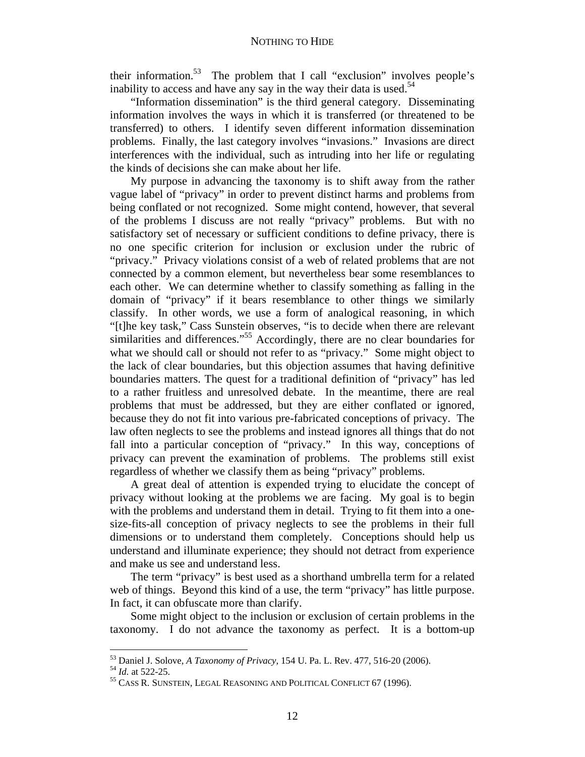their information.<sup>53</sup> The problem that I call "exclusion" involves people's inability to access and have any say in the way their data is used. $54$ 

"Information dissemination" is the third general category. Disseminating information involves the ways in which it is transferred (or threatened to be transferred) to others. I identify seven different information dissemination problems. Finally, the last category involves "invasions." Invasions are direct interferences with the individual, such as intruding into her life or regulating the kinds of decisions she can make about her life.

My purpose in advancing the taxonomy is to shift away from the rather vague label of "privacy" in order to prevent distinct harms and problems from being conflated or not recognized. Some might contend, however, that several of the problems I discuss are not really "privacy" problems. But with no satisfactory set of necessary or sufficient conditions to define privacy, there is no one specific criterion for inclusion or exclusion under the rubric of "privacy." Privacy violations consist of a web of related problems that are not connected by a common element, but nevertheless bear some resemblances to each other. We can determine whether to classify something as falling in the domain of "privacy" if it bears resemblance to other things we similarly classify. In other words, we use a form of analogical reasoning, in which "[t]he key task," Cass Sunstein observes, "is to decide when there are relevant similarities and differences."<sup>55</sup> Accordingly, there are no clear boundaries for what we should call or should not refer to as "privacy." Some might object to the lack of clear boundaries, but this objection assumes that having definitive boundaries matters. The quest for a traditional definition of "privacy" has led to a rather fruitless and unresolved debate. In the meantime, there are real problems that must be addressed, but they are either conflated or ignored, because they do not fit into various pre-fabricated conceptions of privacy. The law often neglects to see the problems and instead ignores all things that do not fall into a particular conception of "privacy." In this way, conceptions of privacy can prevent the examination of problems. The problems still exist regardless of whether we classify them as being "privacy" problems.

A great deal of attention is expended trying to elucidate the concept of privacy without looking at the problems we are facing. My goal is to begin with the problems and understand them in detail. Trying to fit them into a onesize-fits-all conception of privacy neglects to see the problems in their full dimensions or to understand them completely. Conceptions should help us understand and illuminate experience; they should not detract from experience and make us see and understand less.

The term "privacy" is best used as a shorthand umbrella term for a related web of things. Beyond this kind of a use, the term "privacy" has little purpose. In fact, it can obfuscate more than clarify.

Some might object to the inclusion or exclusion of certain problems in the taxonomy. I do not advance the taxonomy as perfect. It is a bottom-up

<span id="page-13-0"></span><sup>&</sup>lt;sup>53</sup> Daniel J. Solove, *A Taxonomy of Privacy*, 154 U. Pa. L. Rev. 477, 516-20 (2006).<br><sup>54</sup> *Id.* at 522-25.<br><sup>55</sup> CASS R. SUNSTEIN, LEGAL REASONING AND POLITICAL CONFLICT 67 (1996).

<span id="page-13-1"></span>

<span id="page-13-2"></span>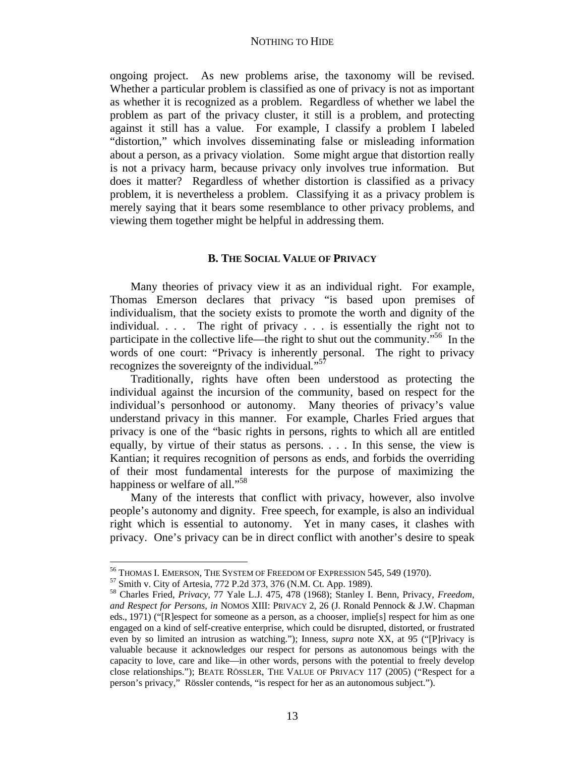<span id="page-14-0"></span>ongoing project. As new problems arise, the taxonomy will be revised. Whether a particular problem is classified as one of privacy is not as important as whether it is recognized as a problem. Regardless of whether we label the problem as part of the privacy cluster, it still is a problem, and protecting against it still has a value. For example, I classify a problem I labeled "distortion," which involves disseminating false or misleading information about a person, as a privacy violation. Some might argue that distortion really is not a privacy harm, because privacy only involves true information. But does it matter? Regardless of whether distortion is classified as a privacy problem, it is nevertheless a problem. Classifying it as a privacy problem is merely saying that it bears some resemblance to other privacy problems, and viewing them together might be helpful in addressing them.

#### **B. THE SOCIAL VALUE OF PRIVACY**

Many theories of privacy view it as an individual right. For example, Thomas Emerson declares that privacy "is based upon premises of individualism, that the society exists to promote the worth and dignity of the individual. . . . The right of privacy . . . is essentially the right not to participate in the collective life—the right to shut out the community.["56](#page-14-1) In the words of one court: "Privacy is inherently personal. The right to privacy recognizes the sovereignty of the individual."<sup>57</sup>

Traditionally, rights have often been understood as protecting the individual against the incursion of the community, based on respect for the individual's personhood or autonomy. Many theories of privacy's value understand privacy in this manner. For example, Charles Fried argues that privacy is one of the "basic rights in persons, rights to which all are entitled equally, by virtue of their status as persons. . . . In this sense, the view is Kantian; it requires recognition of persons as ends, and forbids the overriding of their most fundamental interests for the purpose of maximizing the happiness or welfare of all."<sup>58</sup>

Many of the interests that conflict with privacy, however, also involve people's autonomy and dignity. Free speech, for example, is also an individual right which is essential to autonomy. Yet in many cases, it clashes with privacy. One's privacy can be in direct conflict with another's desire to speak

<span id="page-14-1"></span>

<span id="page-14-3"></span><span id="page-14-2"></span>

<sup>&</sup>lt;sup>56</sup> THOMAS I. EMERSON, THE SYSTEM OF FREEDOM OF EXPRESSION 545, 549 (1970).<br><sup>57</sup> Smith v. City of Artesia, 772 P.2d 373, 376 (N.M. Ct. App. 1989).<br><sup>58</sup> Charles Fried, *Privacy*, 77 Yale L.J. 475, 478 (1968); Stanley I. B *and Respect for Persons, in* NOMOS XIII: PRIVACY 2, 26 (J. Ronald Pennock & J.W. Chapman eds., 1971) ("[R]espect for someone as a person, as a chooser, implie[s] respect for him as one engaged on a kind of self-creative enterprise, which could be disrupted, distorted, or frustrated even by so limited an intrusion as watching."); Inness, *supra* note XX, at 95 ("[P]rivacy is valuable because it acknowledges our respect for persons as autonomous beings with the capacity to love, care and like—in other words, persons with the potential to freely develop close relationships."); BEATE RÖSSLER, THE VALUE OF PRIVACY 117 (2005) ("Respect for a person's privacy," Rössler contends, "is respect for her as an autonomous subject.").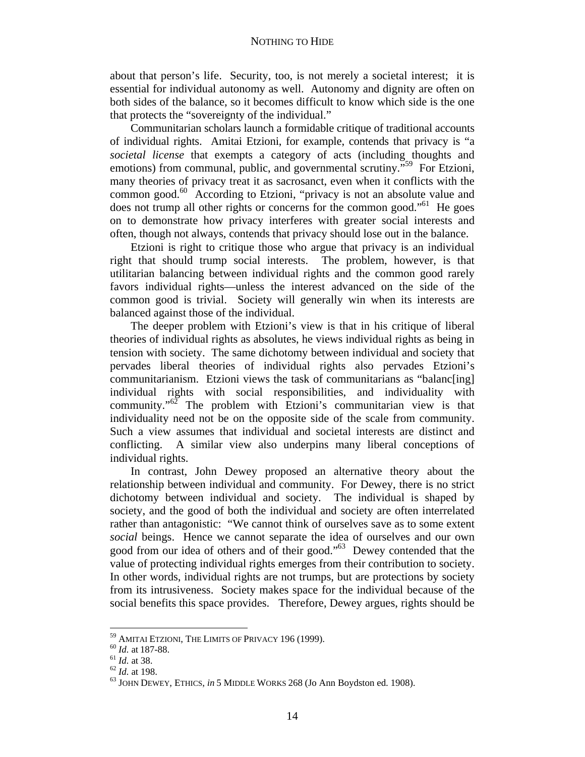about that person's life. Security, too, is not merely a societal interest; it is essential for individual autonomy as well. Autonomy and dignity are often on both sides of the balance, so it becomes difficult to know which side is the one that protects the "sovereignty of the individual."

Communitarian scholars launch a formidable critique of traditional accounts of individual rights. Amitai Etzioni, for example, contends that privacy is "a *societal license* that exempts a category of acts (including thoughts and emotions) from communal, public, and governmental scrutiny.<sup>59</sup> For Etzioni, many theories of privacy treat it as sacrosanct, even when it conflicts with the common good[.60](#page-15-1) According to Etzioni, "privacy is not an absolute value and does not trump all other rights or concerns for the common good."[61](#page-15-2) He goes on to demonstrate how privacy interferes with greater social interests and often, though not always, contends that privacy should lose out in the balance.

Etzioni is right to critique those who argue that privacy is an individual right that should trump social interests. The problem, however, is that utilitarian balancing between individual rights and the common good rarely favors individual rights—unless the interest advanced on the side of the common good is trivial. Society will generally win when its interests are balanced against those of the individual.

The deeper problem with Etzioni's view is that in his critique of liberal theories of individual rights as absolutes, he views individual rights as being in tension with society. The same dichotomy between individual and society that pervades liberal theories of individual rights also pervades Etzioni's communitarianism. Etzioni views the task of communitarians as "balanc[ing] individual rights with social responsibilities, and individuality with community."[62](#page-15-3) The problem with Etzioni's communitarian view is that individuality need not be on the opposite side of the scale from community. Such a view assumes that individual and societal interests are distinct and conflicting. A similar view also underpins many liberal conceptions of individual rights.

In contrast, John Dewey proposed an alternative theory about the relationship between individual and community. For Dewey, there is no strict dichotomy between individual and society. The individual is shaped by society, and the good of both the individual and society are often interrelated rather than antagonistic: "We cannot think of ourselves save as to some extent *social* beings. Hence we cannot separate the idea of ourselves and our own good from our idea of others and of their good."[63](#page-15-4) Dewey contended that the value of protecting individual rights emerges from their contribution to society. In other words, individual rights are not trumps, but are protections by society from its intrusiveness. Society makes space for the individual because of the social benefits this space provides. Therefore, Dewey argues, rights should be

<span id="page-15-0"></span><sup>&</sup>lt;sup>59</sup> AMITAI ETZIONI, THE LIMITS OF PRIVACY 196 (1999).

<span id="page-15-1"></span>

<span id="page-15-2"></span>

<span id="page-15-4"></span><span id="page-15-3"></span>

<sup>69</sup> *Id.* at 187-88.<br>
61 *Id.* at 38.<br>
62 *Id.* at 38.<br>
63 JOHN DEWEY, ETHICS, *in* 5 MIDDLE WORKS 268 (Jo Ann Boydston ed. 1908).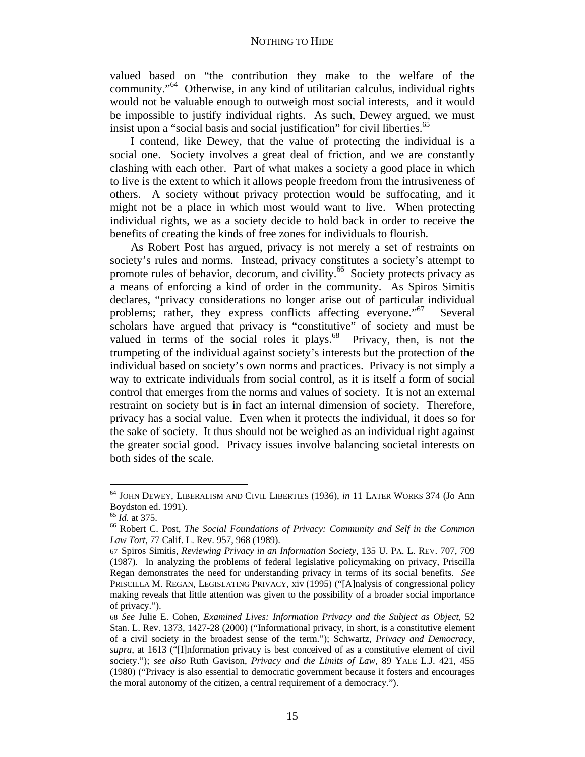valued based on "the contribution they make to the welfare of the community."[64](#page-16-0) Otherwise, in any kind of utilitarian calculus, individual rights would not be valuable enough to outweigh most social interests, and it would be impossible to justify individual rights. As such, Dewey argued, we must insist upon a "social basis and social justification" for civil liberties.<sup>65</sup>

I contend, like Dewey, that the value of protecting the individual is a social one. Society involves a great deal of friction, and we are constantly clashing with each other. Part of what makes a society a good place in which to live is the extent to which it allows people freedom from the intrusiveness of others. A society without privacy protection would be suffocating, and it might not be a place in which most would want to live. When protecting individual rights, we as a society decide to hold back in order to receive the benefits of creating the kinds of free zones for individuals to flourish.

As Robert Post has argued, privacy is not merely a set of restraints on society's rules and norms. Instead, privacy constitutes a society's attempt to promote rules of behavior, decorum, and civility.[66](#page-16-2) Society protects privacy as a means of enforcing a kind of order in the community. As Spiros Simitis declares, "privacy considerations no longer arise out of particular individual problems; rather, they express conflicts affecting everyone."<sup>67</sup> Several scholars have argued that privacy is "constitutive" of society and must be valued in terms of the social roles it plays.<sup>[68](#page-16-4)</sup> Privacy, then, is not the trumpeting of the individual against society's interests but the protection of the individual based on society's own norms and practices. Privacy is not simply a way to extricate individuals from social control, as it is itself a form of social control that emerges from the norms and values of society. It is not an external restraint on society but is in fact an internal dimension of society. Therefore, privacy has a social value. Even when it protects the individual, it does so for the sake of society. It thus should not be weighed as an individual right against the greater social good. Privacy issues involve balancing societal interests on both sides of the scale.

<span id="page-16-0"></span><sup>64</sup> JOHN DEWEY, LIBERALISM AND CIVIL LIBERTIES (1936), *in* 11 LATER WORKS 374 (Jo Ann Boydston ed. 1991).<br><sup>65</sup> *Id.* at 375.<br><sup>66</sup> Robert C. Post, *The Social Foundations of Privacy: Community and Self in the Common* 

<span id="page-16-1"></span>

<span id="page-16-2"></span>*Law Tort*, 77 Calif. L. Rev. 957, 968 (1989).

<span id="page-16-3"></span><sup>67</sup> Spiros Simitis, *Reviewing Privacy in an Information Society*, 135 U. PA. L. REV. 707, 709 (1987). In analyzing the problems of federal legislative policymaking on privacy, Priscilla Regan demonstrates the need for understanding privacy in terms of its social benefits. *See* PRISCILLA M. REGAN, LEGISLATING PRIVACY, xiv (1995) ("[A]nalysis of congressional policy making reveals that little attention was given to the possibility of a broader social importance of privacy.").

<span id="page-16-4"></span><sup>68</sup> *See* Julie E. Cohen, *Examined Lives: Information Privacy and the Subject as Object*, 52 Stan. L. Rev. 1373, 1427-28 (2000) ("Informational privacy, in short, is a constitutive element of a civil society in the broadest sense of the term."); Schwartz, *Privacy and Democracy, supra*, at 1613 ("[I]nformation privacy is best conceived of as a constitutive element of civil society."); *see also* Ruth Gavison, *Privacy and the Limits of Law*, 89 YALE L.J. 421, 455 (1980) ("Privacy is also essential to democratic government because it fosters and encourages the moral autonomy of the citizen, a central requirement of a democracy.").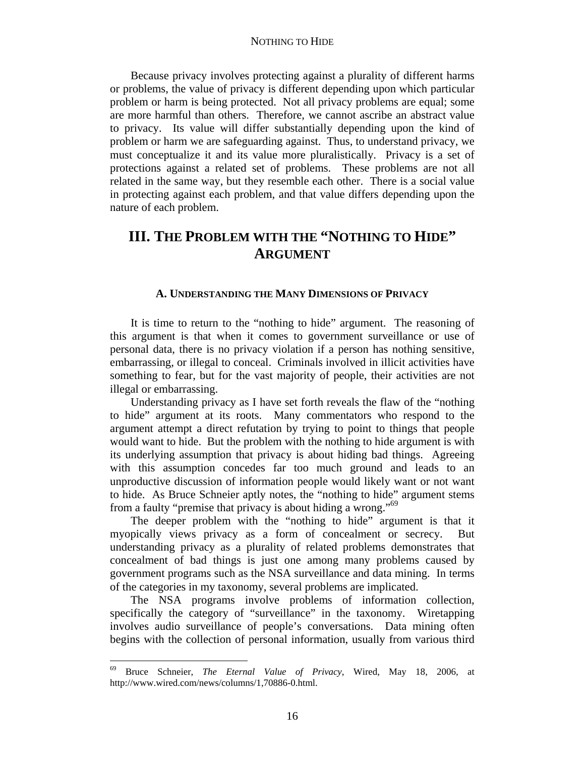<span id="page-17-0"></span>Because privacy involves protecting against a plurality of different harms or problems, the value of privacy is different depending upon which particular problem or harm is being protected. Not all privacy problems are equal; some are more harmful than others. Therefore, we cannot ascribe an abstract value to privacy. Its value will differ substantially depending upon the kind of problem or harm we are safeguarding against. Thus, to understand privacy, we must conceptualize it and its value more pluralistically. Privacy is a set of protections against a related set of problems. These problems are not all related in the same way, but they resemble each other. There is a social value in protecting against each problem, and that value differs depending upon the nature of each problem.

## **III. THE PROBLEM WITH THE "NOTHING TO HIDE" ARGUMENT**

#### **A. UNDERSTANDING THE MANY DIMENSIONS OF PRIVACY**

It is time to return to the "nothing to hide" argument. The reasoning of this argument is that when it comes to government surveillance or use of personal data, there is no privacy violation if a person has nothing sensitive, embarrassing, or illegal to conceal. Criminals involved in illicit activities have something to fear, but for the vast majority of people, their activities are not illegal or embarrassing.

Understanding privacy as I have set forth reveals the flaw of the "nothing to hide" argument at its roots. Many commentators who respond to the argument attempt a direct refutation by trying to point to things that people would want to hide. But the problem with the nothing to hide argument is with its underlying assumption that privacy is about hiding bad things. Agreeing with this assumption concedes far too much ground and leads to an unproductive discussion of information people would likely want or not want to hide. As Bruce Schneier aptly notes, the "nothing to hide" argument stems from a faulty "premise that privacy is about hiding a wrong."<sup>[69](#page-17-1)</sup>

The deeper problem with the "nothing to hide" argument is that it myopically views privacy as a form of concealment or secrecy. But understanding privacy as a plurality of related problems demonstrates that concealment of bad things is just one among many problems caused by government programs such as the NSA surveillance and data mining. In terms of the categories in my taxonomy, several problems are implicated.

The NSA programs involve problems of information collection, specifically the category of "surveillance" in the taxonomy. Wiretapping involves audio surveillance of people's conversations. Data mining often begins with the collection of personal information, usually from various third

<span id="page-17-1"></span> $69\,$ 69 Bruce Schneier, *The Eternal Value of Privacy*, Wired, May 18, 2006, at http://www.wired.com/news/columns/1,70886-0.html.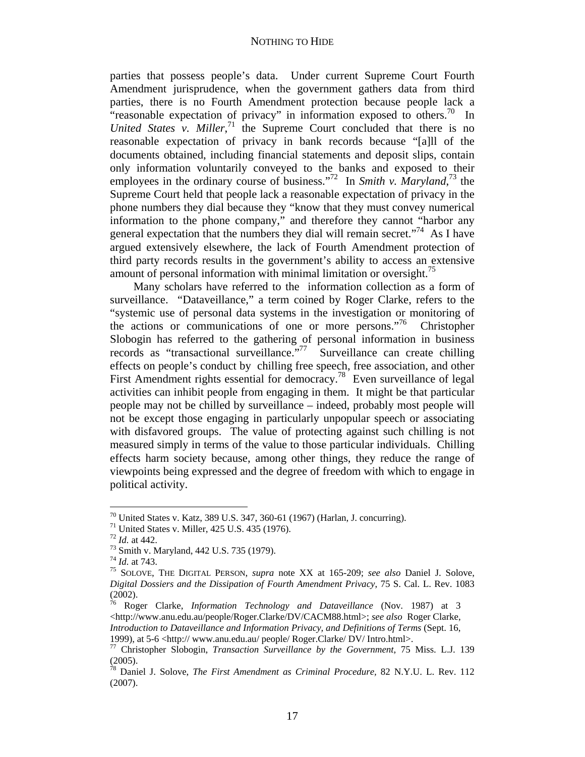parties that possess people's data. Under current Supreme Court Fourth Amendment jurisprudence, when the government gathers data from third parties, there is no Fourth Amendment protection because people lack a "reasonable expectation of privacy" in information exposed to others.<sup>70</sup> In United States v. Miller,<sup>71</sup> the Supreme Court concluded that there is no reasonable expectation of privacy in bank records because "[a]ll of the documents obtained, including financial statements and deposit slips, contain only information voluntarily conveyed to the banks and exposed to their employees in the ordinary course of business."<sup>72</sup> In *Smith v. Maryland*,<sup>73</sup> the Supreme Court held that people lack a reasonable expectation of privacy in the phone numbers they dial because they "know that they must convey numerical information to the phone company," and therefore they cannot "harbor any general expectation that the numbers they dial will remain secret."<sup>74</sup> As I have argued extensively elsewhere, the lack of Fourth Amendment protection of third party records results in the government's ability to access an extensive amount of personal information with minimal limitation or oversight.<sup>[75](#page-18-5)</sup>

Many scholars have referred to the information collection as a form of surveillance. "Dataveillance," a term coined by Roger Clarke, refers to the "systemic use of personal data systems in the investigation or monitoring of the actions or communications of one or more persons."<sup>76</sup> Christopher Slobogin has referred to the gathering of personal information in business records as "transactional surveillance."<sup>77</sup> Surveillance can create chilling effects on people's conduct by chilling free speech, free association, and other First Amendment rights essential for democracy.<sup>78</sup> Even surveillance of legal activities can inhibit people from engaging in them. It might be that particular people may not be chilled by surveillance – indeed, probably most people will not be except those engaging in particularly unpopular speech or associating with disfavored groups. The value of protecting against such chilling is not measured simply in terms of the value to those particular individuals. Chilling effects harm society because, among other things, they reduce the range of viewpoints being expressed and the degree of freedom with which to engage in political activity.

<span id="page-18-0"></span>

<span id="page-18-1"></span>

<span id="page-18-2"></span>

<span id="page-18-3"></span>

<span id="page-18-5"></span><span id="page-18-4"></span>

<sup>&</sup>lt;sup>70</sup> United States v. Katz, 389 U.S. 347, 360-61 (1967) (Harlan, J. concurring).<br><sup>71</sup> United States v. Miller, 425 U.S. 435 (1976).<br><sup>72</sup> Id. at 442.<br><sup>73</sup> Smith v. Maryland, 442 U.S. 735 (1979).<br><sup>74</sup> Id. at 743.<br><sup>75</sup> SOLOV *Digital Dossiers and the Dissipation of Fourth Amendment Privacy*, 75 S. Cal. L. Rev. 1083 (2002). 76 Roger Clarke, *Information Technology and Dataveillance* (Nov. 1987) at 3

<span id="page-18-6"></span><sup>&</sup>lt;http://www.anu.edu.au/people/Roger.Clarke/DV/CACM88.html>; *see also* Roger Clarke, *Introduction to Dataveillance and Information Privacy, and Definitions of Terms* (Sept. 16,

<span id="page-18-7"></span><sup>1999),</sup> at 5-6 <http:// www.anu.edu.au/ people/ Roger.Clarke/ DV/ Intro.html>. 77 Christopher Slobogin, *Transaction Surveillance by the Government*, 75 Miss. L.J. 139 (2005). 78 Daniel J. Solove, *The First Amendment as Criminal Procedure,* 82 N.Y.U. L. Rev. 112

<span id="page-18-8"></span><sup>(2007).</sup>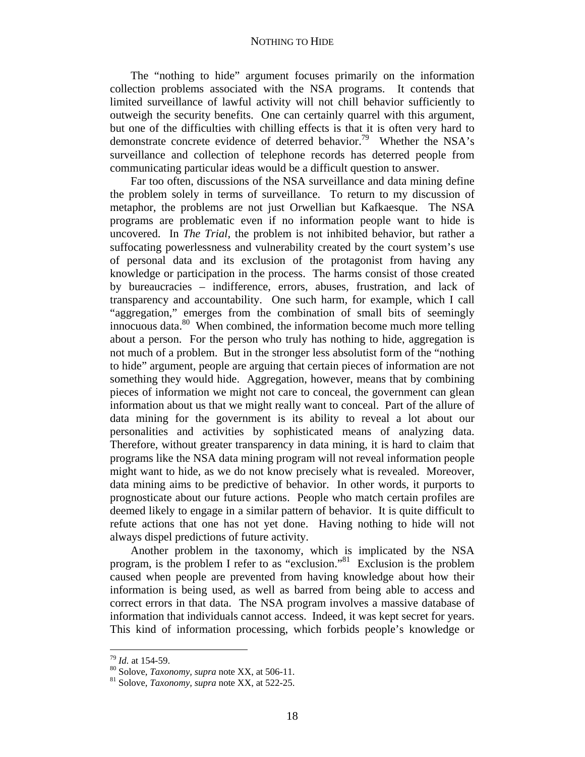The "nothing to hide" argument focuses primarily on the information collection problems associated with the NSA programs. It contends that limited surveillance of lawful activity will not chill behavior sufficiently to outweigh the security benefits. One can certainly quarrel with this argument, but one of the difficulties with chilling effects is that it is often very hard to demonstrate concrete evidence of deterred behavior.<sup>79</sup> Whether the NSA's surveillance and collection of telephone records has deterred people from communicating particular ideas would be a difficult question to answer.

Far too often, discussions of the NSA surveillance and data mining define the problem solely in terms of surveillance. To return to my discussion of metaphor, the problems are not just Orwellian but Kafkaesque. The NSA programs are problematic even if no information people want to hide is uncovered. In *The Trial*, the problem is not inhibited behavior, but rather a suffocating powerlessness and vulnerability created by the court system's use of personal data and its exclusion of the protagonist from having any knowledge or participation in the process. The harms consist of those created by bureaucracies – indifference, errors, abuses, frustration, and lack of transparency and accountability. One such harm, for example, which I call "aggregation," emerges from the combination of small bits of seemingly innocuous data. $80$  When combined, the information become much more telling about a person. For the person who truly has nothing to hide, aggregation is not much of a problem. But in the stronger less absolutist form of the "nothing to hide" argument, people are arguing that certain pieces of information are not something they would hide. Aggregation, however, means that by combining pieces of information we might not care to conceal, the government can glean information about us that we might really want to conceal. Part of the allure of data mining for the government is its ability to reveal a lot about our personalities and activities by sophisticated means of analyzing data. Therefore, without greater transparency in data mining, it is hard to claim that programs like the NSA data mining program will not reveal information people might want to hide, as we do not know precisely what is revealed. Moreover, data mining aims to be predictive of behavior. In other words, it purports to prognosticate about our future actions. People who match certain profiles are deemed likely to engage in a similar pattern of behavior. It is quite difficult to refute actions that one has not yet done. Having nothing to hide will not always dispel predictions of future activity.

Another problem in the taxonomy, which is implicated by the NSA program, is the problem I refer to as "exclusion."[81](#page-19-2) Exclusion is the problem caused when people are prevented from having knowledge about how their information is being used, as well as barred from being able to access and correct errors in that data. The NSA program involves a massive database of information that individuals cannot access. Indeed, it was kept secret for years. This kind of information processing, which forbids people's knowledge or

<span id="page-19-1"></span><span id="page-19-0"></span>

<sup>79</sup> *Id.* at 154-59. 80 Solove, *Taxonomy, supra* note XX, at 506-11. 81 Solove, *Taxonomy, supra* note XX, at 522-25.

<span id="page-19-2"></span>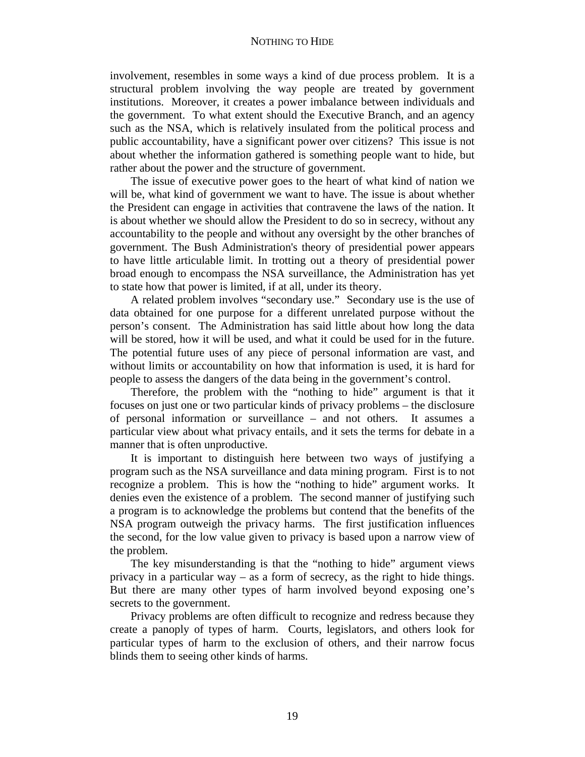involvement, resembles in some ways a kind of due process problem. It is a structural problem involving the way people are treated by government institutions. Moreover, it creates a power imbalance between individuals and the government. To what extent should the Executive Branch, and an agency such as the NSA, which is relatively insulated from the political process and public accountability, have a significant power over citizens? This issue is not about whether the information gathered is something people want to hide, but rather about the power and the structure of government.

The issue of executive power goes to the heart of what kind of nation we will be, what kind of government we want to have. The issue is about whether the President can engage in activities that contravene the laws of the nation. It is about whether we should allow the President to do so in secrecy, without any accountability to the people and without any oversight by the other branches of government. The Bush Administration's theory of presidential power appears to have little articulable limit. In trotting out a theory of presidential power broad enough to encompass the NSA surveillance, the Administration has yet to state how that power is limited, if at all, under its theory.

A related problem involves "secondary use." Secondary use is the use of data obtained for one purpose for a different unrelated purpose without the person's consent. The Administration has said little about how long the data will be stored, how it will be used, and what it could be used for in the future. The potential future uses of any piece of personal information are vast, and without limits or accountability on how that information is used, it is hard for people to assess the dangers of the data being in the government's control.

Therefore, the problem with the "nothing to hide" argument is that it focuses on just one or two particular kinds of privacy problems – the disclosure of personal information or surveillance – and not others. It assumes a particular view about what privacy entails, and it sets the terms for debate in a manner that is often unproductive.

It is important to distinguish here between two ways of justifying a program such as the NSA surveillance and data mining program. First is to not recognize a problem. This is how the "nothing to hide" argument works. It denies even the existence of a problem. The second manner of justifying such a program is to acknowledge the problems but contend that the benefits of the NSA program outweigh the privacy harms. The first justification influences the second, for the low value given to privacy is based upon a narrow view of the problem.

The key misunderstanding is that the "nothing to hide" argument views privacy in a particular way – as a form of secrecy, as the right to hide things. But there are many other types of harm involved beyond exposing one's secrets to the government.

Privacy problems are often difficult to recognize and redress because they create a panoply of types of harm. Courts, legislators, and others look for particular types of harm to the exclusion of others, and their narrow focus blinds them to seeing other kinds of harms.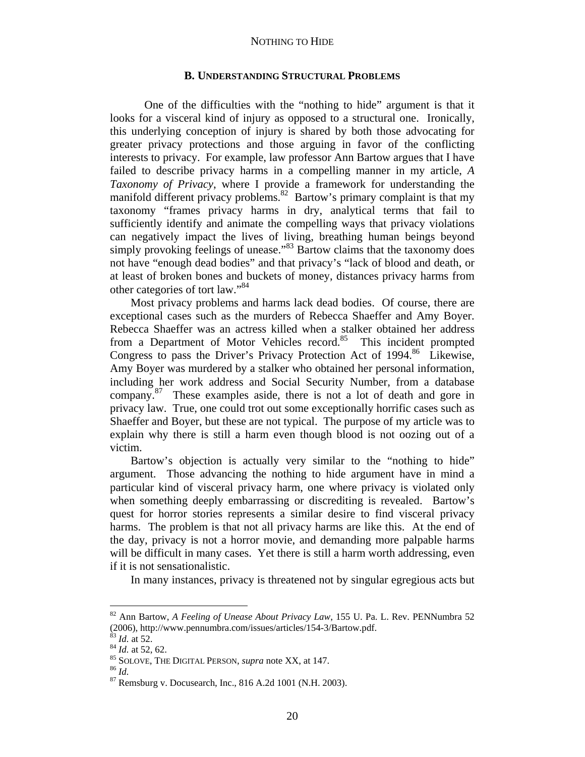#### **B. UNDERSTANDING STRUCTURAL PROBLEMS**

<span id="page-21-0"></span>One of the difficulties with the "nothing to hide" argument is that it looks for a visceral kind of injury as opposed to a structural one. Ironically, this underlying conception of injury is shared by both those advocating for greater privacy protections and those arguing in favor of the conflicting interests to privacy. For example, law professor Ann Bartow argues that I have failed to describe privacy harms in a compelling manner in my article, *A Taxonomy of Privacy*, where I provide a framework for understanding the manifold different privacy problems.<sup>82</sup> Bartow's primary complaint is that my taxonomy "frames privacy harms in dry, analytical terms that fail to sufficiently identify and animate the compelling ways that privacy violations can negatively impact the lives of living, breathing human beings beyond simply provoking feelings of unease."<sup>83</sup> Bartow claims that the taxonomy does not have "enough dead bodies" and that privacy's "lack of blood and death, or at least of broken bones and buckets of money, distances privacy harms from other categories of tort law."[84](#page-21-3) 

Most privacy problems and harms lack dead bodies. Of course, there are exceptional cases such as the murders of Rebecca Shaeffer and Amy Boyer. Rebecca Shaeffer was an actress killed when a stalker obtained her address from a Department of Motor Vehicles record.<sup>85</sup> This incident prompted Congress to pass the Driver's Privacy Protection Act of 1994.<sup>86</sup> Likewise, Amy Boyer was murdered by a stalker who obtained her personal information, including her work address and Social Security Number, from a database company.[87](#page-21-6) These examples aside, there is not a lot of death and gore in privacy law. True, one could trot out some exceptionally horrific cases such as Shaeffer and Boyer, but these are not typical. The purpose of my article was to explain why there is still a harm even though blood is not oozing out of a victim.

Bartow's objection is actually very similar to the "nothing to hide" argument. Those advancing the nothing to hide argument have in mind a particular kind of visceral privacy harm, one where privacy is violated only when something deeply embarrassing or discrediting is revealed. Bartow's quest for horror stories represents a similar desire to find visceral privacy harms. The problem is that not all privacy harms are like this. At the end of the day, privacy is not a horror movie, and demanding more palpable harms will be difficult in many cases. Yet there is still a harm worth addressing, even if it is not sensationalistic.

In many instances, privacy is threatened not by singular egregious acts but

<span id="page-21-1"></span><sup>82</sup> Ann Bartow, *A Feeling of Unease About Privacy Law*, 155 U. Pa. L. Rev. PENNumbra 52 (2006), http://www.pennumbra.com/issues/articles/154-3/Bartow.pdf.<br><sup>83</sup> Id. at 52.<br><sup>84</sup> Id. at 52, 62.<br><sup>85</sup> SOLOVE, THE DIGITAL PERSON, *supra* note XX, at 147.<br><sup>86</sup> Id.<br><sup>87</sup> Remsburg v. Docusearch, Inc., 816 A.2d 1001 (N

<span id="page-21-2"></span>

<span id="page-21-3"></span>

<span id="page-21-4"></span>

<span id="page-21-5"></span>

<span id="page-21-6"></span>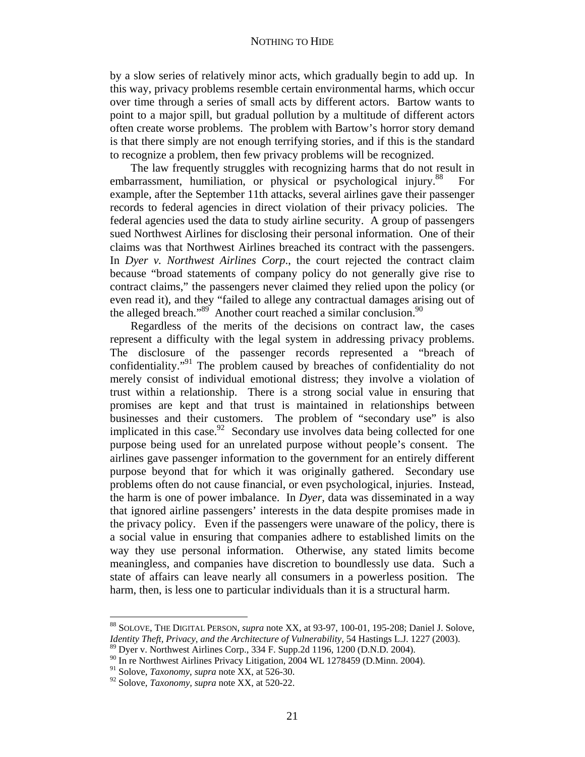by a slow series of relatively minor acts, which gradually begin to add up. In this way, privacy problems resemble certain environmental harms, which occur over time through a series of small acts by different actors. Bartow wants to point to a major spill, but gradual pollution by a multitude of different actors often create worse problems. The problem with Bartow's horror story demand is that there simply are not enough terrifying stories, and if this is the standard to recognize a problem, then few privacy problems will be recognized.

The law frequently struggles with recognizing harms that do not result in embarrassment, humiliation, or physical or psychological injury.<sup>88</sup> For example, after the September 11th attacks, several airlines gave their passenger records to federal agencies in direct violation of their privacy policies. The federal agencies used the data to study airline security. A group of passengers sued Northwest Airlines for disclosing their personal information. One of their claims was that Northwest Airlines breached its contract with the passengers. In *Dyer v. Northwest Airlines Corp*., the court rejected the contract claim because "broad statements of company policy do not generally give rise to contract claims," the passengers never claimed they relied upon the policy (or even read it), and they "failed to allege any contractual damages arising out of the alleged breach."<sup>89</sup> Another court reached a similar conclusion.<sup>[90](#page-22-2)</sup>

Regardless of the merits of the decisions on contract law, the cases represent a difficulty with the legal system in addressing privacy problems. The disclosure of the passenger records represented a "breach of confidentiality."<sup>91</sup> The problem caused by breaches of confidentiality do not merely consist of individual emotional distress; they involve a violation of trust within a relationship. There is a strong social value in ensuring that promises are kept and that trust is maintained in relationships between businesses and their customers. The problem of "secondary use" is also implicated in this case.  $92$  Secondary use involves data being collected for one purpose being used for an unrelated purpose without people's consent. The airlines gave passenger information to the government for an entirely different purpose beyond that for which it was originally gathered. Secondary use problems often do not cause financial, or even psychological, injuries. Instead, the harm is one of power imbalance. In *Dyer,* data was disseminated in a way that ignored airline passengers' interests in the data despite promises made in the privacy policy. Even if the passengers were unaware of the policy, there is a social value in ensuring that companies adhere to established limits on the way they use personal information. Otherwise, any stated limits become meaningless, and companies have discretion to boundlessly use data. Such a state of affairs can leave nearly all consumers in a powerless position. The harm, then, is less one to particular individuals than it is a structural harm.

<span id="page-22-0"></span><sup>88</sup> SOLOVE, THE DIGITAL PERSON, *supra* note XX, at 93-97, 100-01, 195-208; Daniel J. Solove, *Identity Theft, Privacy, and the Architecture of Vulnerability,* 54 Hastings L.J. 1227 (2003).<br><sup>89</sup> Dyer v. Northwest Airlines Corp., 334 F. Supp.2d 1196, 1200 (D.N.D. 2004).

<span id="page-22-1"></span>

<span id="page-22-2"></span> $80$  In re Northwest Airlines Privacy Litigation, 2004 WL 1278459 (D.Minn. 2004).

<span id="page-22-3"></span><sup>91</sup> Solove, *Taxonomy*, *supra* note XX, at 526-30. 92 Solove, *Taxonomy, supra* note XX, at 520-22.

<span id="page-22-4"></span>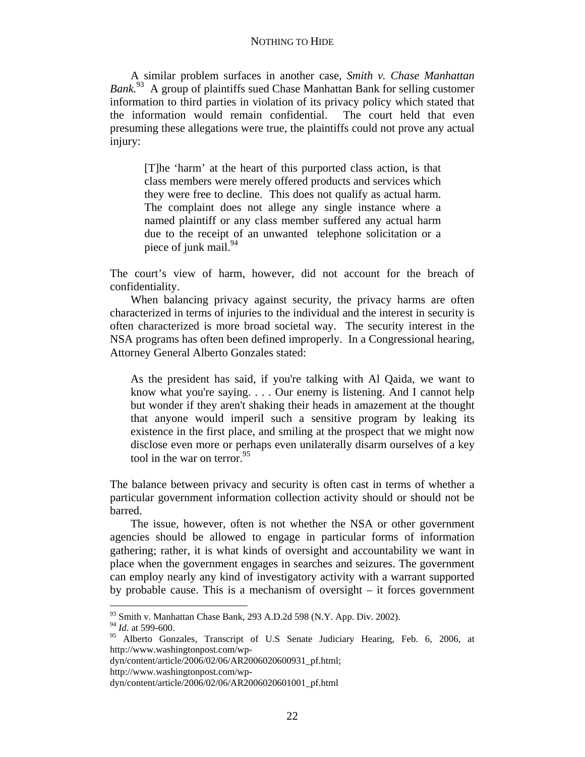A similar problem surfaces in another case, *Smith v. Chase Manhattan Bank.*[93](#page-23-0)A group of plaintiffs sued Chase Manhattan Bank for selling customer information to third parties in violation of its privacy policy which stated that the information would remain confidential. The court held that even presuming these allegations were true, the plaintiffs could not prove any actual injury:

[T]he 'harm' at the heart of this purported class action, is that class members were merely offered products and services which they were free to decline. This does not qualify as actual harm. The complaint does not allege any single instance where a named plaintiff or any class member suffered any actual harm due to the receipt of an unwanted telephone solicitation or a piece of junk mail.<sup>94</sup>

The court's view of harm, however, did not account for the breach of confidentiality.

When balancing privacy against security, the privacy harms are often characterized in terms of injuries to the individual and the interest in security is often characterized is more broad societal way. The security interest in the NSA programs has often been defined improperly. In a Congressional hearing, Attorney General Alberto Gonzales stated:

As the president has said, if you're talking with Al Qaida, we want to know what you're saying. . . . Our enemy is listening. And I cannot help but wonder if they aren't shaking their heads in amazement at the thought that anyone would imperil such a sensitive program by leaking its existence in the first place, and smiling at the prospect that we might now disclose even more or perhaps even unilaterally disarm ourselves of a key tool in the war on terror.<sup>95</sup>

The balance between privacy and security is often cast in terms of whether a particular government information collection activity should or should not be barred.

The issue, however, often is not whether the NSA or other government agencies should be allowed to engage in particular forms of information gathering; rather, it is what kinds of oversight and accountability we want in place when the government engages in searches and seizures. The government can employ nearly any kind of investigatory activity with a warrant supported by probable cause. This is a mechanism of oversight – it forces government

<span id="page-23-0"></span><sup>93</sup> Smith v. Manhattan Chase Bank, 293 A.D.2d 598 (N.Y. App. Div. 2002).

<span id="page-23-2"></span><span id="page-23-1"></span>

<sup>&</sup>lt;sup>94</sup> Id. at 599-600.<br><sup>95</sup> Alberto Gonzales, Transcript of U.S Senate Judiciary Hearing, Feb. 6, 2006, at http://www.washingtonpost.com/wp-

dyn/content/article/2006/02/06/AR2006020600931\_pf.html;

http://www.washingtonpost.com/wp-

dyn/content/article/2006/02/06/AR2006020601001\_pf.html